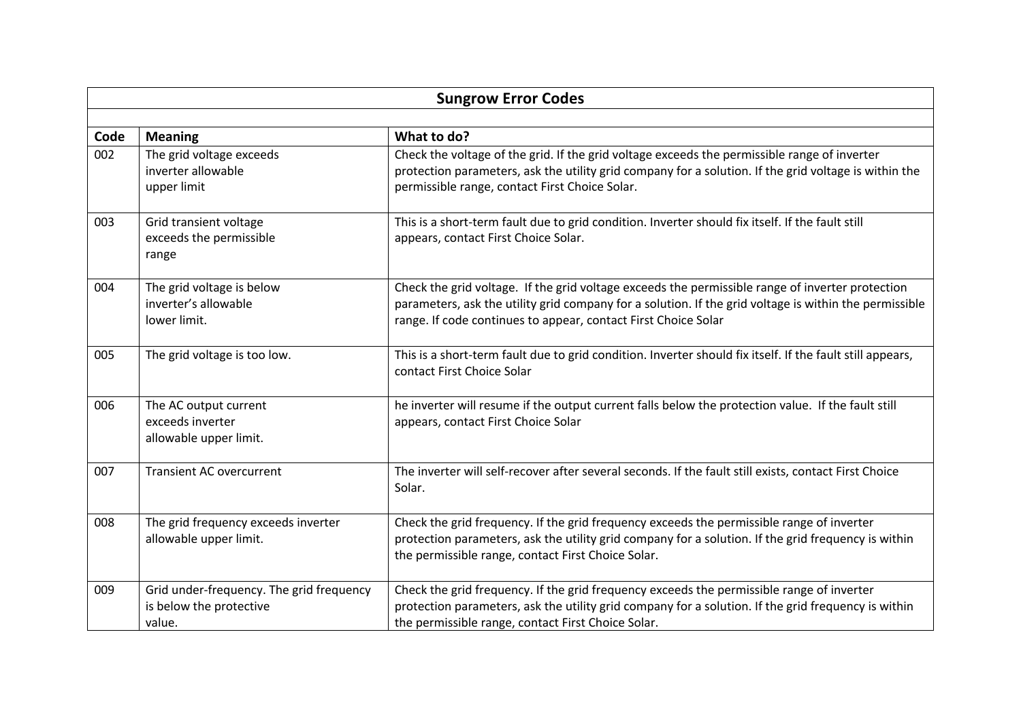| <b>Sungrow Error Codes</b> |                                                                               |                                                                                                                                                                                                                                                                              |  |  |  |
|----------------------------|-------------------------------------------------------------------------------|------------------------------------------------------------------------------------------------------------------------------------------------------------------------------------------------------------------------------------------------------------------------------|--|--|--|
|                            |                                                                               |                                                                                                                                                                                                                                                                              |  |  |  |
| Code                       | <b>Meaning</b>                                                                | What to do?                                                                                                                                                                                                                                                                  |  |  |  |
| 002                        | The grid voltage exceeds<br>inverter allowable<br>upper limit                 | Check the voltage of the grid. If the grid voltage exceeds the permissible range of inverter<br>protection parameters, ask the utility grid company for a solution. If the grid voltage is within the<br>permissible range, contact First Choice Solar.                      |  |  |  |
| 003                        | Grid transient voltage<br>exceeds the permissible<br>range                    | This is a short-term fault due to grid condition. Inverter should fix itself. If the fault still<br>appears, contact First Choice Solar.                                                                                                                                     |  |  |  |
| 004                        | The grid voltage is below<br>inverter's allowable<br>lower limit.             | Check the grid voltage. If the grid voltage exceeds the permissible range of inverter protection<br>parameters, ask the utility grid company for a solution. If the grid voltage is within the permissible<br>range. If code continues to appear, contact First Choice Solar |  |  |  |
| 005                        | The grid voltage is too low.                                                  | This is a short-term fault due to grid condition. Inverter should fix itself. If the fault still appears,<br>contact First Choice Solar                                                                                                                                      |  |  |  |
| 006                        | The AC output current<br>exceeds inverter<br>allowable upper limit.           | he inverter will resume if the output current falls below the protection value. If the fault still<br>appears, contact First Choice Solar                                                                                                                                    |  |  |  |
| 007                        | <b>Transient AC overcurrent</b>                                               | The inverter will self-recover after several seconds. If the fault still exists, contact First Choice<br>Solar.                                                                                                                                                              |  |  |  |
| 008                        | The grid frequency exceeds inverter<br>allowable upper limit.                 | Check the grid frequency. If the grid frequency exceeds the permissible range of inverter<br>protection parameters, ask the utility grid company for a solution. If the grid frequency is within<br>the permissible range, contact First Choice Solar.                       |  |  |  |
| 009                        | Grid under-frequency. The grid frequency<br>is below the protective<br>value. | Check the grid frequency. If the grid frequency exceeds the permissible range of inverter<br>protection parameters, ask the utility grid company for a solution. If the grid frequency is within<br>the permissible range, contact First Choice Solar.                       |  |  |  |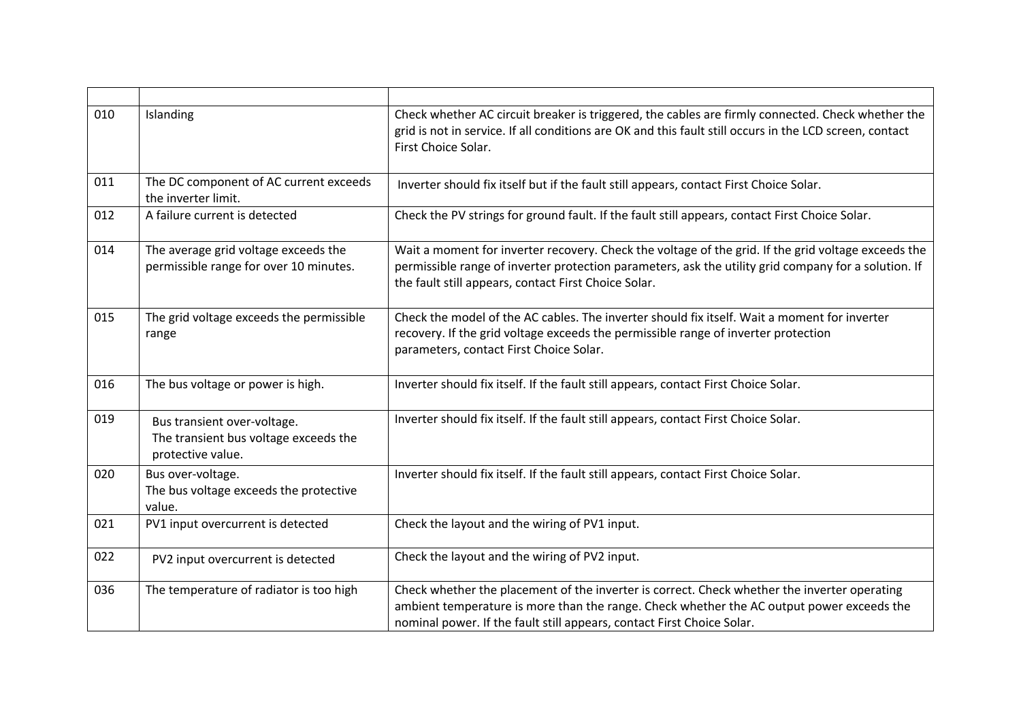| 010 | Islanding                                                                                 | Check whether AC circuit breaker is triggered, the cables are firmly connected. Check whether the<br>grid is not in service. If all conditions are OK and this fault still occurs in the LCD screen, contact<br>First Choice Solar.                                 |
|-----|-------------------------------------------------------------------------------------------|---------------------------------------------------------------------------------------------------------------------------------------------------------------------------------------------------------------------------------------------------------------------|
| 011 | The DC component of AC current exceeds<br>the inverter limit.                             | Inverter should fix itself but if the fault still appears, contact First Choice Solar.                                                                                                                                                                              |
| 012 | A failure current is detected                                                             | Check the PV strings for ground fault. If the fault still appears, contact First Choice Solar.                                                                                                                                                                      |
| 014 | The average grid voltage exceeds the<br>permissible range for over 10 minutes.            | Wait a moment for inverter recovery. Check the voltage of the grid. If the grid voltage exceeds the<br>permissible range of inverter protection parameters, ask the utility grid company for a solution. If<br>the fault still appears, contact First Choice Solar. |
| 015 | The grid voltage exceeds the permissible<br>range                                         | Check the model of the AC cables. The inverter should fix itself. Wait a moment for inverter<br>recovery. If the grid voltage exceeds the permissible range of inverter protection<br>parameters, contact First Choice Solar.                                       |
| 016 | The bus voltage or power is high.                                                         | Inverter should fix itself. If the fault still appears, contact First Choice Solar.                                                                                                                                                                                 |
| 019 | Bus transient over-voltage.<br>The transient bus voltage exceeds the<br>protective value. | Inverter should fix itself. If the fault still appears, contact First Choice Solar.                                                                                                                                                                                 |
| 020 | Bus over-voltage.<br>The bus voltage exceeds the protective<br>value.                     | Inverter should fix itself. If the fault still appears, contact First Choice Solar.                                                                                                                                                                                 |
| 021 | PV1 input overcurrent is detected                                                         | Check the layout and the wiring of PV1 input.                                                                                                                                                                                                                       |
| 022 | PV2 input overcurrent is detected                                                         | Check the layout and the wiring of PV2 input.                                                                                                                                                                                                                       |
| 036 | The temperature of radiator is too high                                                   | Check whether the placement of the inverter is correct. Check whether the inverter operating<br>ambient temperature is more than the range. Check whether the AC output power exceeds the<br>nominal power. If the fault still appears, contact First Choice Solar. |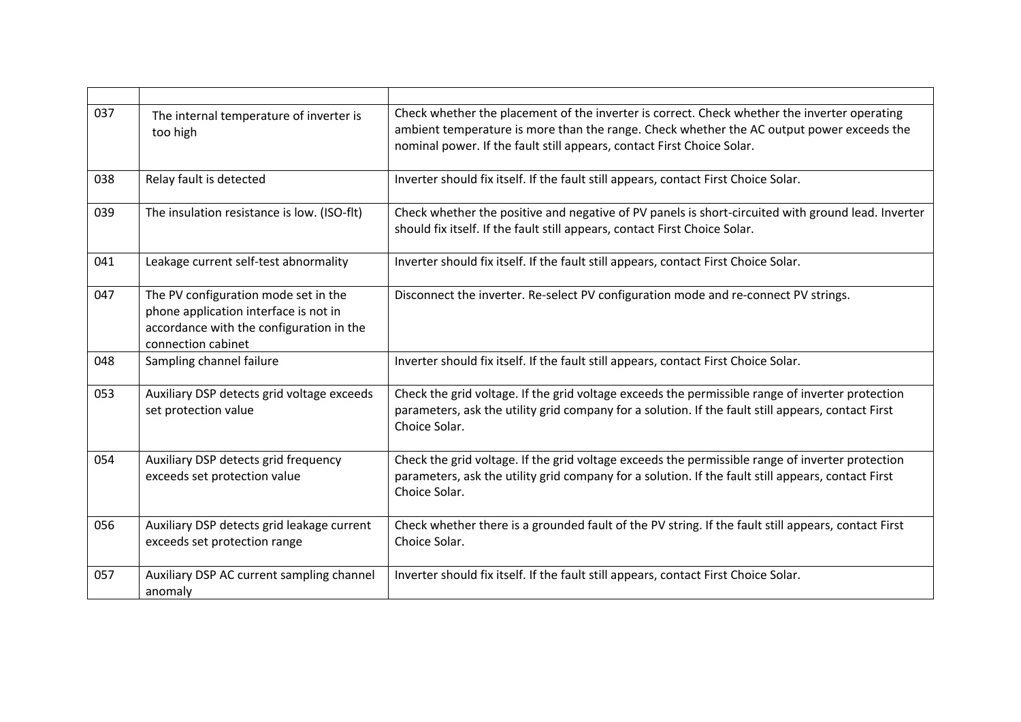| 037 | The internal temperature of inverter is<br>too high                                                                                             | Check whether the placement of the inverter is correct. Check whether the inverter operating<br>ambient temperature is more than the range. Check whether the AC output power exceeds the<br>nominal power. If the fault still appears, contact First Choice Solar. |
|-----|-------------------------------------------------------------------------------------------------------------------------------------------------|---------------------------------------------------------------------------------------------------------------------------------------------------------------------------------------------------------------------------------------------------------------------|
| 038 | Relay fault is detected                                                                                                                         | Inverter should fix itself. If the fault still appears, contact First Choice Solar.                                                                                                                                                                                 |
| 039 | The insulation resistance is low. (ISO-flt)                                                                                                     | Check whether the positive and negative of PV panels is short-circuited with ground lead. Inverter<br>should fix itself. If the fault still appears, contact First Choice Solar.                                                                                    |
| 041 | Leakage current self-test abnormality                                                                                                           | Inverter should fix itself. If the fault still appears, contact First Choice Solar.                                                                                                                                                                                 |
| 047 | The PV configuration mode set in the<br>phone application interface is not in<br>accordance with the configuration in the<br>connection cabinet | Disconnect the inverter. Re-select PV configuration mode and re-connect PV strings.                                                                                                                                                                                 |
| 048 | Sampling channel failure                                                                                                                        | Inverter should fix itself. If the fault still appears, contact First Choice Solar.                                                                                                                                                                                 |
| 053 | Auxiliary DSP detects grid voltage exceeds<br>set protection value                                                                              | Check the grid voltage. If the grid voltage exceeds the permissible range of inverter protection<br>parameters, ask the utility grid company for a solution. If the fault still appears, contact First<br>Choice Solar.                                             |
| 054 | Auxiliary DSP detects grid frequency<br>exceeds set protection value                                                                            | Check the grid voltage. If the grid voltage exceeds the permissible range of inverter protection<br>parameters, ask the utility grid company for a solution. If the fault still appears, contact First<br>Choice Solar.                                             |
| 056 | Auxiliary DSP detects grid leakage current<br>exceeds set protection range                                                                      | Check whether there is a grounded fault of the PV string. If the fault still appears, contact First<br>Choice Solar.                                                                                                                                                |
| 057 | Auxiliary DSP AC current sampling channel<br>anomaly                                                                                            | Inverter should fix itself. If the fault still appears, contact First Choice Solar.                                                                                                                                                                                 |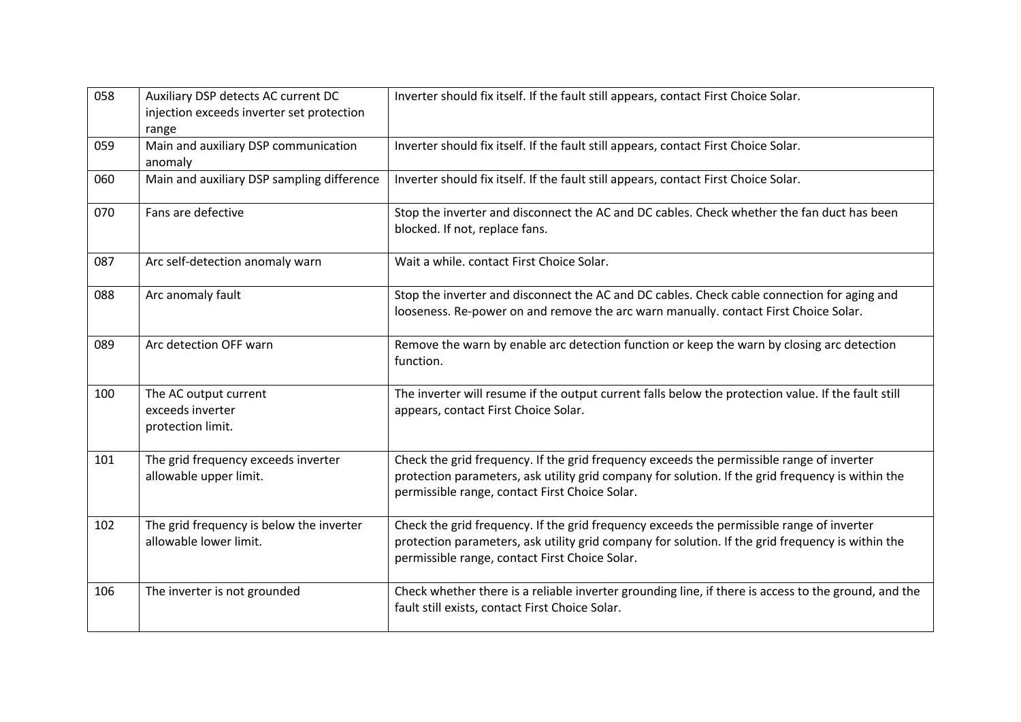| 058 | Auxiliary DSP detects AC current DC<br>injection exceeds inverter set protection<br>range | Inverter should fix itself. If the fault still appears, contact First Choice Solar.                                                                                                                                                              |
|-----|-------------------------------------------------------------------------------------------|--------------------------------------------------------------------------------------------------------------------------------------------------------------------------------------------------------------------------------------------------|
| 059 | Main and auxiliary DSP communication<br>anomaly                                           | Inverter should fix itself. If the fault still appears, contact First Choice Solar.                                                                                                                                                              |
| 060 | Main and auxiliary DSP sampling difference                                                | Inverter should fix itself. If the fault still appears, contact First Choice Solar.                                                                                                                                                              |
| 070 | Fans are defective                                                                        | Stop the inverter and disconnect the AC and DC cables. Check whether the fan duct has been<br>blocked. If not, replace fans.                                                                                                                     |
| 087 | Arc self-detection anomaly warn                                                           | Wait a while. contact First Choice Solar.                                                                                                                                                                                                        |
| 088 | Arc anomaly fault                                                                         | Stop the inverter and disconnect the AC and DC cables. Check cable connection for aging and<br>looseness. Re-power on and remove the arc warn manually. contact First Choice Solar.                                                              |
| 089 | Arc detection OFF warn                                                                    | Remove the warn by enable arc detection function or keep the warn by closing arc detection<br>function.                                                                                                                                          |
| 100 | The AC output current<br>exceeds inverter<br>protection limit.                            | The inverter will resume if the output current falls below the protection value. If the fault still<br>appears, contact First Choice Solar.                                                                                                      |
| 101 | The grid frequency exceeds inverter<br>allowable upper limit.                             | Check the grid frequency. If the grid frequency exceeds the permissible range of inverter<br>protection parameters, ask utility grid company for solution. If the grid frequency is within the<br>permissible range, contact First Choice Solar. |
| 102 | The grid frequency is below the inverter<br>allowable lower limit.                        | Check the grid frequency. If the grid frequency exceeds the permissible range of inverter<br>protection parameters, ask utility grid company for solution. If the grid frequency is within the<br>permissible range, contact First Choice Solar. |
| 106 | The inverter is not grounded                                                              | Check whether there is a reliable inverter grounding line, if there is access to the ground, and the<br>fault still exists, contact First Choice Solar.                                                                                          |